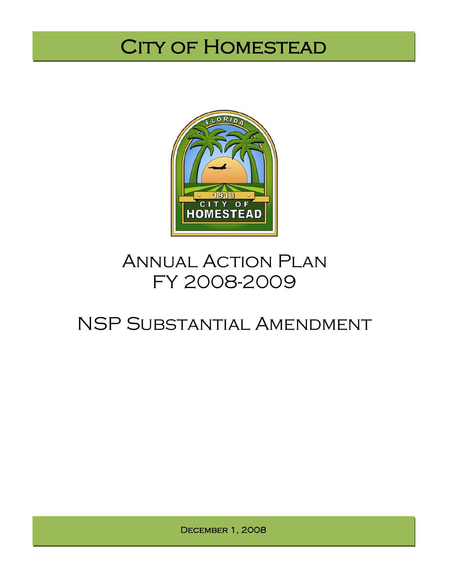# CITY OF HOMESTEAD



# **ANNUAL ACTION PLAN** FY 2008-2009

# NSP Substantial Amendment

December 1, 2008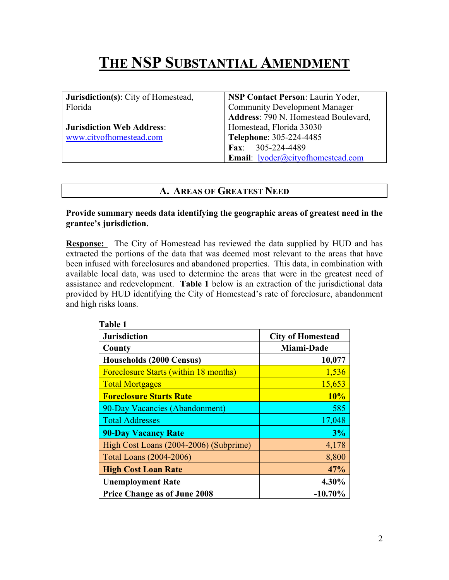# **THE NSP SUBSTANTIAL AMENDMENT**

| <b>Jurisdiction(s)</b> : City of Homestead, | <b>NSP Contact Person: Laurin Yoder,</b> |  |  |
|---------------------------------------------|------------------------------------------|--|--|
| Florida                                     | <b>Community Development Manager</b>     |  |  |
|                                             | Address: 790 N. Homestead Boulevard,     |  |  |
| <b>Jurisdiction Web Address:</b>            | Homestead, Florida 33030                 |  |  |
| www.cityofhomestead.com                     | Telephone: 305-224-4485                  |  |  |
|                                             | Fax: $305-224-4489$                      |  |  |
|                                             | <b>Email:</b> lyoder@cityofhomestead.com |  |  |

#### **A. AREAS OF GREATEST NEED**

**Provide summary needs data identifying the geographic areas of greatest need in the grantee's jurisdiction.** 

**Response:** The City of Homestead has reviewed the data supplied by HUD and has extracted the portions of the data that was deemed most relevant to the areas that have been infused with foreclosures and abandoned properties. This data, in combination with available local data, was used to determine the areas that were in the greatest need of assistance and redevelopment. **Table 1** below is an extraction of the jurisdictional data provided by HUD identifying the City of Homestead's rate of foreclosure, abandonment and high risks loans.

| <b>Jurisdiction</b>                          | <b>City of Homestead</b> |  |  |
|----------------------------------------------|--------------------------|--|--|
| County                                       | Miami-Dade               |  |  |
| <b>Households (2000 Census)</b>              | 10,077                   |  |  |
| <b>Foreclosure Starts (within 18 months)</b> | 1,536                    |  |  |
| <b>Total Mortgages</b>                       | 15,653                   |  |  |
| <b>Foreclosure Starts Rate</b>               | 10%                      |  |  |
| 90-Day Vacancies (Abandonment)               | 585                      |  |  |
| <b>Total Addresses</b>                       | 17,048                   |  |  |
| <b>90-Day Vacancy Rate</b>                   | 3%                       |  |  |
| High Cost Loans (2004-2006) (Subprime)       | 4,178                    |  |  |
| Total Loans (2004-2006)                      | 8,800                    |  |  |
| <b>High Cost Loan Rate</b>                   | 47%                      |  |  |
| <b>Unemployment Rate</b>                     | 4.30%                    |  |  |
| <b>Price Change as of June 2008</b>          | $-10.70%$                |  |  |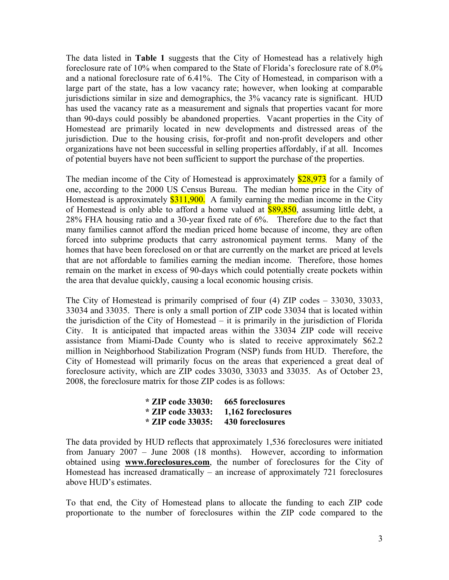The data listed in **Table 1** suggests that the City of Homestead has a relatively high foreclosure rate of 10% when compared to the State of Florida's foreclosure rate of 8.0% and a national foreclosure rate of 6.41%. The City of Homestead, in comparison with a large part of the state, has a low vacancy rate; however, when looking at comparable jurisdictions similar in size and demographics, the 3% vacancy rate is significant. HUD has used the vacancy rate as a measurement and signals that properties vacant for more than 90-days could possibly be abandoned properties. Vacant properties in the City of Homestead are primarily located in new developments and distressed areas of the jurisdiction. Due to the housing crisis, for-profit and non-profit developers and other organizations have not been successful in selling properties affordably, if at all. Incomes of potential buyers have not been sufficient to support the purchase of the properties.

The median income of the City of Homestead is approximately \$28,973 for a family of one, according to the 2000 US Census Bureau. The median home price in the City of Homestead is approximately  $$311,900$ . A family earning the median income in the City of Homestead is only able to afford a home valued at \$89,850, assuming little debt, a 28% FHA housing ratio and a 30-year fixed rate of 6%. Therefore due to the fact that many families cannot afford the median priced home because of income, they are often forced into subprime products that carry astronomical payment terms. Many of the homes that have been foreclosed on or that are currently on the market are priced at levels that are not affordable to families earning the median income. Therefore, those homes remain on the market in excess of 90-days which could potentially create pockets within the area that devalue quickly, causing a local economic housing crisis.

The City of Homestead is primarily comprised of four (4) ZIP codes – 33030, 33033, 33034 and 33035. There is only a small portion of ZIP code 33034 that is located within the jurisdiction of the City of Homestead – it is primarily in the jurisdiction of Florida City. It is anticipated that impacted areas within the 33034 ZIP code will receive assistance from Miami-Dade County who is slated to receive approximately \$62.2 million in Neighborhood Stabilization Program (NSP) funds from HUD. Therefore, the City of Homestead will primarily focus on the areas that experienced a great deal of foreclosure activity, which are ZIP codes 33030, 33033 and 33035. As of October 23, 2008, the foreclosure matrix for those ZIP codes is as follows:

| * ZIP code 33030: 665 foreclosures     |
|----------------------------------------|
| $*$ ZIP code 33033: 1,162 foreclosures |
| * ZIP code 33035: 430 foreclosures     |

The data provided by HUD reflects that approximately 1,536 foreclosures were initiated from January 2007 – June 2008 (18 months). However, according to information obtained using **www.foreclosures.com**, the number of foreclosures for the City of Homestead has increased dramatically – an increase of approximately 721 foreclosures above HUD's estimates.

To that end, the City of Homestead plans to allocate the funding to each ZIP code proportionate to the number of foreclosures within the ZIP code compared to the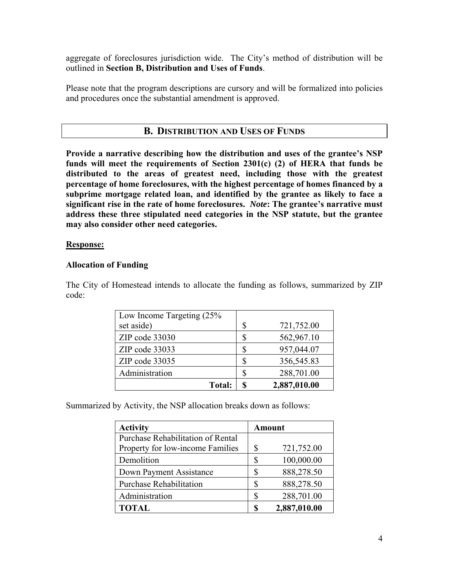aggregate of foreclosures jurisdiction wide. The City's method of distribution will be outlined in **Section B, Distribution and Uses of Funds**.

Please note that the program descriptions are cursory and will be formalized into policies and procedures once the substantial amendment is approved.

### **B. DISTRIBUTION AND USES OF FUNDS**

**Provide a narrative describing how the distribution and uses of the grantee's NSP funds will meet the requirements of Section 2301(c) (2) of HERA that funds be distributed to the areas of greatest need, including those with the greatest percentage of home foreclosures, with the highest percentage of homes financed by a subprime mortgage related loan, and identified by the grantee as likely to face a significant rise in the rate of home foreclosures.** *Note***: The grantee's narrative must address these three stipulated need categories in the NSP statute, but the grantee may also consider other need categories.** 

#### **Response:**

#### **Allocation of Funding**

The City of Homestead intends to allocate the funding as follows, summarized by ZIP code:

| Low Income Targeting $(25\%$ |    |              |
|------------------------------|----|--------------|
| set aside)                   | S  | 721,752.00   |
| ZIP code 33030               |    | 562,967.10   |
| ZIP code 33033               |    | 957,044.07   |
| ZIP code 33035               | \$ | 356,545.83   |
| Administration               | S  | 288,701.00   |
| <b>Total:</b>                |    | 2,887,010.00 |

Summarized by Activity, the NSP allocation breaks down as follows:

| <b>Activity</b><br><b>Amount</b>  |    |              |
|-----------------------------------|----|--------------|
| Purchase Rehabilitation of Rental |    |              |
| Property for low-income Families  | \$ | 721,752.00   |
| Demolition                        | \$ | 100,000.00   |
| Down Payment Assistance           | \$ | 888,278.50   |
| <b>Purchase Rehabilitation</b>    | \$ | 888,278.50   |
| Administration                    | \$ | 288,701.00   |
| <b>TOTAL</b>                      | S  | 2,887,010.00 |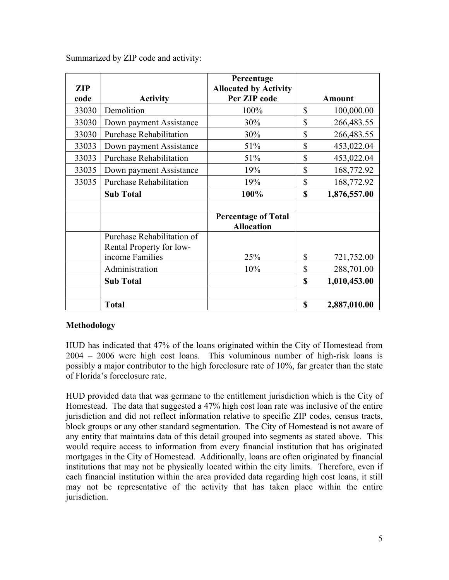| <b>ZIP</b> |                                | Percentage<br><b>Allocated by Activity</b>      |                    |
|------------|--------------------------------|-------------------------------------------------|--------------------|
| code       | <b>Activity</b>                | Per ZIP code                                    | <b>Amount</b>      |
| 33030      | Demolition                     | 100%                                            | \$<br>100,000.00   |
| 33030      | Down payment Assistance        | 30%                                             | \$<br>266,483.55   |
| 33030      | <b>Purchase Rehabilitation</b> | 30%                                             | \$<br>266,483.55   |
| 33033      | Down payment Assistance        | 51%                                             | \$<br>453,022.04   |
| 33033      | <b>Purchase Rehabilitation</b> | 51%                                             | \$<br>453,022.04   |
| 33035      | Down payment Assistance        | 19%                                             | \$<br>168,772.92   |
| 33035      | <b>Purchase Rehabilitation</b> | 19%                                             | \$<br>168,772.92   |
|            | <b>Sub Total</b>               | 100%                                            | \$<br>1,876,557.00 |
|            |                                |                                                 |                    |
|            |                                | <b>Percentage of Total</b><br><b>Allocation</b> |                    |
|            | Purchase Rehabilitation of     |                                                 |                    |
|            | Rental Property for low-       |                                                 |                    |
|            | income Families                | 25%                                             | \$<br>721,752.00   |
|            | Administration                 | 10%                                             | \$<br>288,701.00   |
|            | <b>Sub Total</b>               |                                                 | \$<br>1,010,453.00 |
|            |                                |                                                 |                    |
|            | <b>Total</b>                   |                                                 | \$<br>2,887,010.00 |

Summarized by ZIP code and activity:

#### **Methodology**

HUD has indicated that 47% of the loans originated within the City of Homestead from 2004 – 2006 were high cost loans. This voluminous number of high-risk loans is possibly a major contributor to the high foreclosure rate of 10%, far greater than the state of Florida's foreclosure rate.

HUD provided data that was germane to the entitlement jurisdiction which is the City of Homestead. The data that suggested a 47% high cost loan rate was inclusive of the entire jurisdiction and did not reflect information relative to specific ZIP codes, census tracts, block groups or any other standard segmentation. The City of Homestead is not aware of any entity that maintains data of this detail grouped into segments as stated above. This would require access to information from every financial institution that has originated mortgages in the City of Homestead. Additionally, loans are often originated by financial institutions that may not be physically located within the city limits. Therefore, even if each financial institution within the area provided data regarding high cost loans, it still may not be representative of the activity that has taken place within the entire jurisdiction.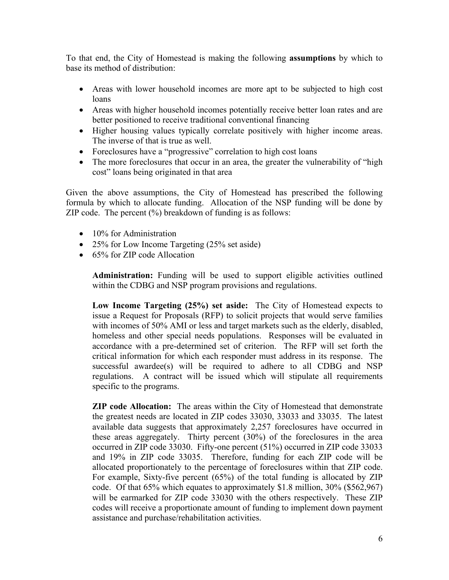To that end, the City of Homestead is making the following **assumptions** by which to base its method of distribution:

- Areas with lower household incomes are more apt to be subjected to high cost loans
- Areas with higher household incomes potentially receive better loan rates and are better positioned to receive traditional conventional financing
- Higher housing values typically correlate positively with higher income areas. The inverse of that is true as well.
- Foreclosures have a "progressive" correlation to high cost loans
- The more foreclosures that occur in an area, the greater the vulnerability of "high" cost" loans being originated in that area

Given the above assumptions, the City of Homestead has prescribed the following formula by which to allocate funding. Allocation of the NSP funding will be done by ZIP code. The percent  $(\%)$  breakdown of funding is as follows:

- 10% for Administration
- 25% for Low Income Targeting (25% set aside)
- 65% for ZIP code Allocation

**Administration:** Funding will be used to support eligible activities outlined within the CDBG and NSP program provisions and regulations.

**Low Income Targeting (25%) set aside:** The City of Homestead expects to issue a Request for Proposals (RFP) to solicit projects that would serve families with incomes of 50% AMI or less and target markets such as the elderly, disabled, homeless and other special needs populations. Responses will be evaluated in accordance with a pre-determined set of criterion. The RFP will set forth the critical information for which each responder must address in its response. The successful awardee(s) will be required to adhere to all CDBG and NSP regulations. A contract will be issued which will stipulate all requirements specific to the programs.

**ZIP code Allocation:** The areas within the City of Homestead that demonstrate the greatest needs are located in ZIP codes 33030, 33033 and 33035. The latest available data suggests that approximately 2,257 foreclosures have occurred in these areas aggregately. Thirty percent (30%) of the foreclosures in the area occurred in ZIP code 33030. Fifty-one percent (51%) occurred in ZIP code 33033 and 19% in ZIP code 33035. Therefore, funding for each ZIP code will be allocated proportionately to the percentage of foreclosures within that ZIP code. For example, Sixty-five percent (65%) of the total funding is allocated by ZIP code. Of that 65% which equates to approximately \$1.8 million, 30% (\$562,967) will be earmarked for ZIP code 33030 with the others respectively. These ZIP codes will receive a proportionate amount of funding to implement down payment assistance and purchase/rehabilitation activities.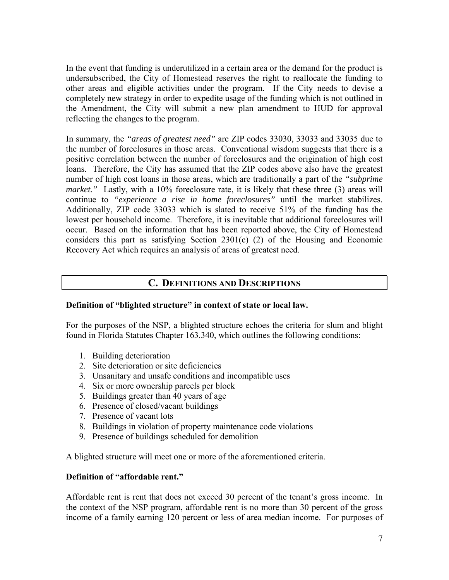In the event that funding is underutilized in a certain area or the demand for the product is undersubscribed, the City of Homestead reserves the right to reallocate the funding to other areas and eligible activities under the program. If the City needs to devise a completely new strategy in order to expedite usage of the funding which is not outlined in the Amendment, the City will submit a new plan amendment to HUD for approval reflecting the changes to the program.

In summary, the *"areas of greatest need"* are ZIP codes 33030, 33033 and 33035 due to the number of foreclosures in those areas. Conventional wisdom suggests that there is a positive correlation between the number of foreclosures and the origination of high cost loans. Therefore, the City has assumed that the ZIP codes above also have the greatest number of high cost loans in those areas, which are traditionally a part of the *"subprime market.*" Lastly, with a 10% foreclosure rate, it is likely that these three (3) areas will continue to *"experience a rise in home foreclosures"* until the market stabilizes. Additionally, ZIP code 33033 which is slated to receive 51% of the funding has the lowest per household income. Therefore, it is inevitable that additional foreclosures will occur. Based on the information that has been reported above, the City of Homestead considers this part as satisfying Section 2301(c) (2) of the Housing and Economic Recovery Act which requires an analysis of areas of greatest need.

#### **C. DEFINITIONS AND DESCRIPTIONS**

#### **Definition of "blighted structure" in context of state or local law.**

For the purposes of the NSP, a blighted structure echoes the criteria for slum and blight found in Florida Statutes Chapter 163.340, which outlines the following conditions:

- 1. Building deterioration
- 2. Site deterioration or site deficiencies
- 3. Unsanitary and unsafe conditions and incompatible uses
- 4. Six or more ownership parcels per block
- 5. Buildings greater than 40 years of age
- 6. Presence of closed/vacant buildings
- 7. Presence of vacant lots
- 8. Buildings in violation of property maintenance code violations
- 9. Presence of buildings scheduled for demolition

A blighted structure will meet one or more of the aforementioned criteria.

#### **Definition of "affordable rent."**

Affordable rent is rent that does not exceed 30 percent of the tenant's gross income. In the context of the NSP program, affordable rent is no more than 30 percent of the gross income of a family earning 120 percent or less of area median income. For purposes of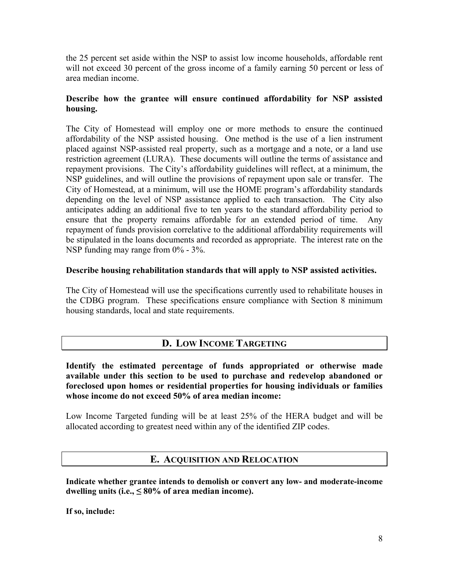the 25 percent set aside within the NSP to assist low income households, affordable rent will not exceed 30 percent of the gross income of a family earning 50 percent or less of area median income.

#### **Describe how the grantee will ensure continued affordability for NSP assisted housing.**

The City of Homestead will employ one or more methods to ensure the continued affordability of the NSP assisted housing. One method is the use of a lien instrument placed against NSP-assisted real property, such as a mortgage and a note, or a land use restriction agreement (LURA). These documents will outline the terms of assistance and repayment provisions. The City's affordability guidelines will reflect, at a minimum, the NSP guidelines, and will outline the provisions of repayment upon sale or transfer. The City of Homestead, at a minimum, will use the HOME program's affordability standards depending on the level of NSP assistance applied to each transaction. The City also anticipates adding an additional five to ten years to the standard affordability period to ensure that the property remains affordable for an extended period of time. Any repayment of funds provision correlative to the additional affordability requirements will be stipulated in the loans documents and recorded as appropriate. The interest rate on the NSP funding may range from 0% - 3%.

#### **Describe housing rehabilitation standards that will apply to NSP assisted activities.**

The City of Homestead will use the specifications currently used to rehabilitate houses in the CDBG program. These specifications ensure compliance with Section 8 minimum housing standards, local and state requirements.

## **D. LOW INCOME TARGETING**

**Identify the estimated percentage of funds appropriated or otherwise made available under this section to be used to purchase and redevelop abandoned or foreclosed upon homes or residential properties for housing individuals or families whose income do not exceed 50% of area median income:** 

Low Income Targeted funding will be at least 25% of the HERA budget and will be allocated according to greatest need within any of the identified ZIP codes.

## **E. ACQUISITION AND RELOCATION**

**Indicate whether grantee intends to demolish or convert any low- and moderate-income**  dwelling units (i.e.,  $\leq 80\%$  of area median income).

**If so, include:**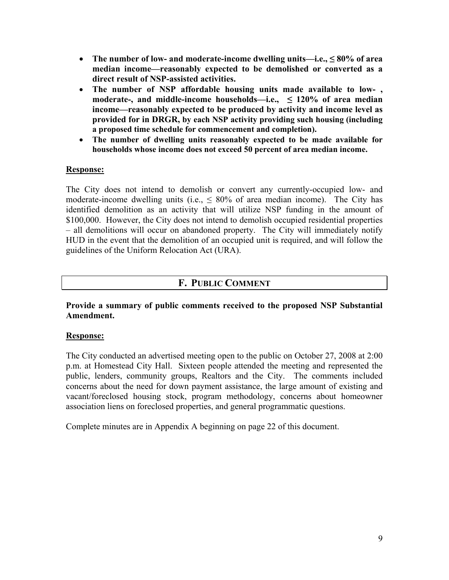- **The number of low- and moderate-income dwelling units—i.e., ≤ 80% of area median income—reasonably expected to be demolished or converted as a direct result of NSP-assisted activities.**
- **The number of NSP affordable housing units made available to low- , moderate-, and middle-income households—i.e., ≤ 120% of area median income—reasonably expected to be produced by activity and income level as provided for in DRGR, by each NSP activity providing such housing (including a proposed time schedule for commencement and completion).**
- **The number of dwelling units reasonably expected to be made available for households whose income does not exceed 50 percent of area median income.**

#### **Response:**

The City does not intend to demolish or convert any currently-occupied low- and moderate-income dwelling units (i.e.,  $\leq 80\%$  of area median income). The City has identified demolition as an activity that will utilize NSP funding in the amount of \$100,000. However, the City does not intend to demolish occupied residential properties – all demolitions will occur on abandoned property. The City will immediately notify HUD in the event that the demolition of an occupied unit is required, and will follow the guidelines of the Uniform Relocation Act (URA).

#### **F. PUBLIC COMMENT**

**Provide a summary of public comments received to the proposed NSP Substantial Amendment.** 

#### **Response:**

The City conducted an advertised meeting open to the public on October 27, 2008 at 2:00 p.m. at Homestead City Hall. Sixteen people attended the meeting and represented the public, lenders, community groups, Realtors and the City. The comments included concerns about the need for down payment assistance, the large amount of existing and vacant/foreclosed housing stock, program methodology, concerns about homeowner association liens on foreclosed properties, and general programmatic questions.

Complete minutes are in Appendix A beginning on page 22 of this document.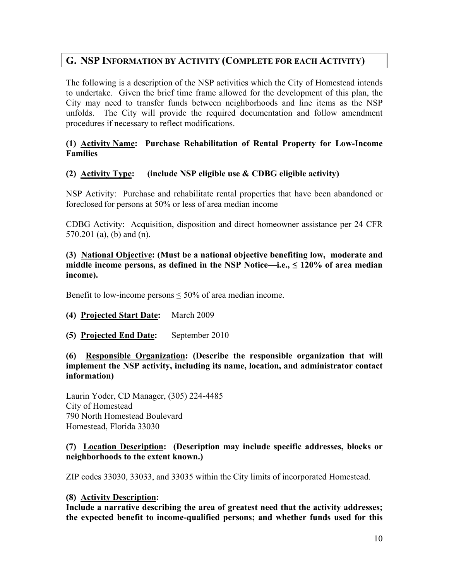# **G. NSP INFORMATION BY ACTIVITY (COMPLETE FOR EACH ACTIVITY)**

The following is a description of the NSP activities which the City of Homestead intends to undertake. Given the brief time frame allowed for the development of this plan, the City may need to transfer funds between neighborhoods and line items as the NSP unfolds. The City will provide the required documentation and follow amendment procedures if necessary to reflect modifications.

#### **(1) Activity Name: Purchase Rehabilitation of Rental Property for Low-Income Families**

#### **(2) Activity Type: (include NSP eligible use & CDBG eligible activity)**

NSP Activity: Purchase and rehabilitate rental properties that have been abandoned or foreclosed for persons at 50% or less of area median income

CDBG Activity: Acquisition, disposition and direct homeowner assistance per 24 CFR 570.201 (a), (b) and (n).

**(3) National Objective: (Must be a national objective benefiting low, moderate and middle income persons, as defined in the NSP Notice—i.e., ≤ 120% of area median income).** 

Benefit to low-income persons ≤ 50% of area median income.

#### **(4) Projected Start Date:** March 2009

#### **(5) Projected End Date:** September 2010

#### **(6) Responsible Organization: (Describe the responsible organization that will implement the NSP activity, including its name, location, and administrator contact information)**

Laurin Yoder, CD Manager, (305) 224-4485 City of Homestead 790 North Homestead Boulevard Homestead, Florida 33030

#### **(7) Location Description: (Description may include specific addresses, blocks or neighborhoods to the extent known.)**

ZIP codes 33030, 33033, and 33035 within the City limits of incorporated Homestead.

#### **(8) Activity Description:**

**Include a narrative describing the area of greatest need that the activity addresses; the expected benefit to income-qualified persons; and whether funds used for this**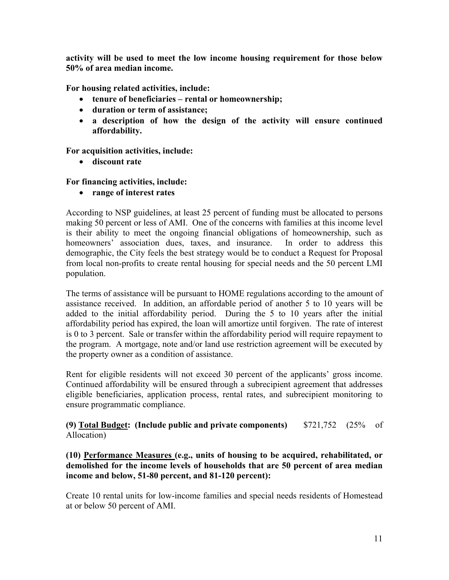**activity will be used to meet the low income housing requirement for those below 50% of area median income.** 

**For housing related activities, include:** 

- **tenure of beneficiaries rental or homeownership;**
- **duration or term of assistance;**
- **a description of how the design of the activity will ensure continued affordability.**

**For acquisition activities, include:** 

• **discount rate** 

#### **For financing activities, include:**

• **range of interest rates**

According to NSP guidelines, at least 25 percent of funding must be allocated to persons making 50 percent or less of AMI. One of the concerns with families at this income level is their ability to meet the ongoing financial obligations of homeownership, such as homeowners' association dues, taxes, and insurance. In order to address this demographic, the City feels the best strategy would be to conduct a Request for Proposal from local non-profits to create rental housing for special needs and the 50 percent LMI population.

The terms of assistance will be pursuant to HOME regulations according to the amount of assistance received. In addition, an affordable period of another 5 to 10 years will be added to the initial affordability period. During the 5 to 10 years after the initial affordability period has expired, the loan will amortize until forgiven. The rate of interest is 0 to 3 percent. Sale or transfer within the affordability period will require repayment to the program. A mortgage, note and/or land use restriction agreement will be executed by the property owner as a condition of assistance.

Rent for eligible residents will not exceed 30 percent of the applicants' gross income. Continued affordability will be ensured through a subrecipient agreement that addresses eligible beneficiaries, application process, rental rates, and subrecipient monitoring to ensure programmatic compliance.

**(9) Total Budget: (Include public and private components)** \$721,752 (25% of Allocation)

**(10) Performance Measures (e.g., units of housing to be acquired, rehabilitated, or demolished for the income levels of households that are 50 percent of area median income and below, 51-80 percent, and 81-120 percent):** 

Create 10 rental units for low-income families and special needs residents of Homestead at or below 50 percent of AMI.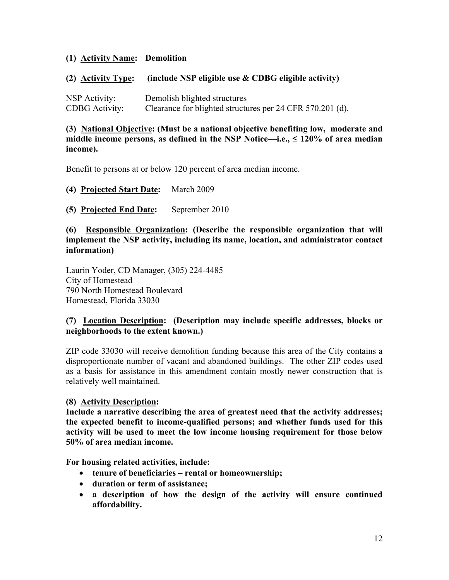#### **(1) Activity Name: Demolition**

#### **(2) Activity Type: (include NSP eligible use & CDBG eligible activity)**

NSP Activity: Demolish blighted structures CDBG Activity: Clearance for blighted structures per 24 CFR 570.201 (d).

#### **(3) National Objective: (Must be a national objective benefiting low, moderate and middle income persons, as defined in the NSP Notice—i.e., ≤ 120% of area median income).**

Benefit to persons at or below 120 percent of area median income.

- **(4) Projected Start Date:** March 2009
- **(5) Projected End Date:** September 2010

#### **(6) Responsible Organization: (Describe the responsible organization that will implement the NSP activity, including its name, location, and administrator contact information)**

Laurin Yoder, CD Manager, (305) 224-4485 City of Homestead 790 North Homestead Boulevard Homestead, Florida 33030

#### **(7) Location Description: (Description may include specific addresses, blocks or neighborhoods to the extent known.)**

ZIP code 33030 will receive demolition funding because this area of the City contains a disproportionate number of vacant and abandoned buildings. The other ZIP codes used as a basis for assistance in this amendment contain mostly newer construction that is relatively well maintained.

#### **(8) Activity Description:**

**Include a narrative describing the area of greatest need that the activity addresses; the expected benefit to income-qualified persons; and whether funds used for this activity will be used to meet the low income housing requirement for those below 50% of area median income.** 

**For housing related activities, include:** 

- **tenure of beneficiaries rental or homeownership;**
- **duration or term of assistance;**
- **a description of how the design of the activity will ensure continued affordability.**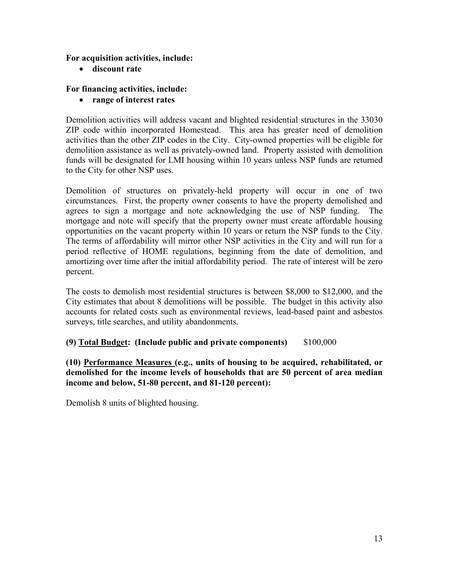#### **For acquisition activities, include:**

• **discount rate** 

#### **For financing activities, include:**

• **range of interest rates** 

Demolition activities will address vacant and blighted residential structures in the 33030 ZIP code within incorporated Homestead. This area has greater need of demolition activities than the other ZIP codes in the City. City-owned properties will be eligible for demolition assistance as well as privately-owned land. Property assisted with demolition funds will be designated for LMI housing within 10 years unless NSP funds are returned to the City for other NSP uses.

Demolition of structures on privately-held property will occur in one of two circumstances. First, the property owner consents to have the property demolished and agrees to sign a mortgage and note acknowledging the use of NSP funding. The mortgage and note will specify that the property owner must create affordable housing opportunities on the vacant property within 10 years or return the NSP funds to the City. The terms of affordability will mirror other NSP activities in the City and will run for a period reflective of HOME regulations, beginning from the date of demolition, and amortizing over time after the initial affordability period. The rate of interest will be zero percent.

The costs to demolish most residential structures is between \$8,000 to \$12,000, and the City estimates that about 8 demolitions will be possible. The budget in this activity also accounts for related costs such as environmental reviews, lead-based paint and asbestos surveys, title searches, and utility abandonments.

#### **(9) Total Budget: (Include public and private components)** \$100,000

**(10) Performance Measures (e.g., units of housing to be acquired, rehabilitated, or demolished for the income levels of households that are 50 percent of area median income and below, 51-80 percent, and 81-120 percent):** 

Demolish 8 units of blighted housing.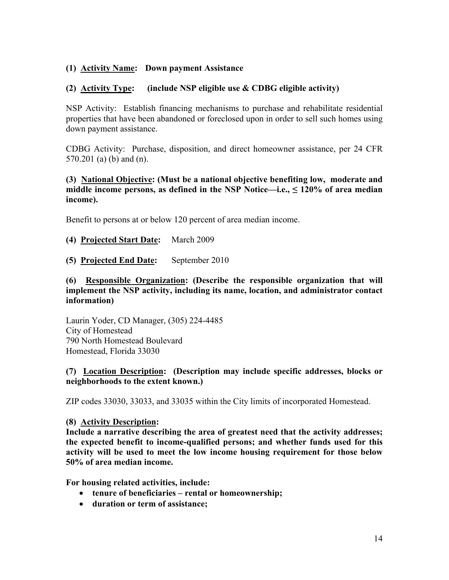#### **(1) Activity Name: Down payment Assistance**

#### **(2) Activity Type: (include NSP eligible use & CDBG eligible activity)**

NSP Activity: Establish financing mechanisms to purchase and rehabilitate residential properties that have been abandoned or foreclosed upon in order to sell such homes using down payment assistance.

CDBG Activity: Purchase, disposition, and direct homeowner assistance, per 24 CFR 570.201 (a) (b) and (n).

#### **(3) National Objective: (Must be a national objective benefiting low, moderate and middle income persons, as defined in the NSP Notice—i.e., ≤ 120% of area median income).**

Benefit to persons at or below 120 percent of area median income.

- **(4) Projected Start Date:** March 2009
- **(5) Projected End Date:** September 2010

#### **(6) Responsible Organization: (Describe the responsible organization that will implement the NSP activity, including its name, location, and administrator contact information)**

Laurin Yoder, CD Manager, (305) 224-4485 City of Homestead 790 North Homestead Boulevard Homestead, Florida 33030

#### **(7) Location Description: (Description may include specific addresses, blocks or neighborhoods to the extent known.)**

ZIP codes 33030, 33033, and 33035 within the City limits of incorporated Homestead.

#### **(8) Activity Description:**

**Include a narrative describing the area of greatest need that the activity addresses; the expected benefit to income-qualified persons; and whether funds used for this activity will be used to meet the low income housing requirement for those below 50% of area median income.** 

**For housing related activities, include:** 

- **tenure of beneficiaries rental or homeownership;**
- **duration or term of assistance;**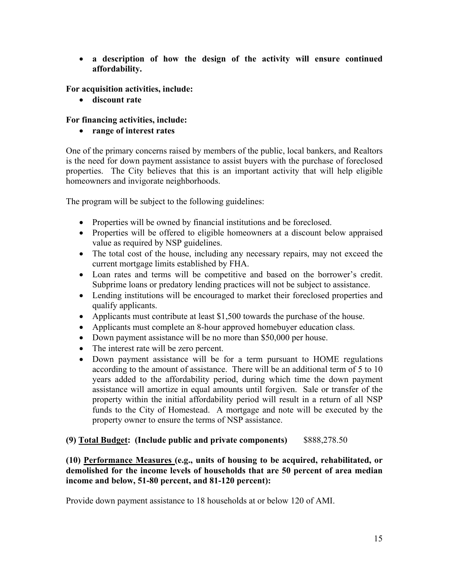• **a description of how the design of the activity will ensure continued affordability.** 

**For acquisition activities, include:** 

• **discount rate** 

#### **For financing activities, include:**

• **range of interest rates**

One of the primary concerns raised by members of the public, local bankers, and Realtors is the need for down payment assistance to assist buyers with the purchase of foreclosed properties. The City believes that this is an important activity that will help eligible homeowners and invigorate neighborhoods.

The program will be subject to the following guidelines:

- Properties will be owned by financial institutions and be foreclosed.
- Properties will be offered to eligible homeowners at a discount below appraised value as required by NSP guidelines.
- The total cost of the house, including any necessary repairs, may not exceed the current mortgage limits established by FHA.
- Loan rates and terms will be competitive and based on the borrower's credit. Subprime loans or predatory lending practices will not be subject to assistance.
- Lending institutions will be encouraged to market their foreclosed properties and qualify applicants.
- Applicants must contribute at least \$1,500 towards the purchase of the house.
- Applicants must complete an 8-hour approved homebuyer education class.
- Down payment assistance will be no more than \$50,000 per house.
- The interest rate will be zero percent.
- Down payment assistance will be for a term pursuant to HOME regulations according to the amount of assistance. There will be an additional term of 5 to 10 years added to the affordability period, during which time the down payment assistance will amortize in equal amounts until forgiven. Sale or transfer of the property within the initial affordability period will result in a return of all NSP funds to the City of Homestead. A mortgage and note will be executed by the property owner to ensure the terms of NSP assistance.

#### **(9) Total Budget: (Include public and private components)** \$888,278.50

#### **(10) Performance Measures (e.g., units of housing to be acquired, rehabilitated, or demolished for the income levels of households that are 50 percent of area median income and below, 51-80 percent, and 81-120 percent):**

Provide down payment assistance to 18 households at or below 120 of AMI.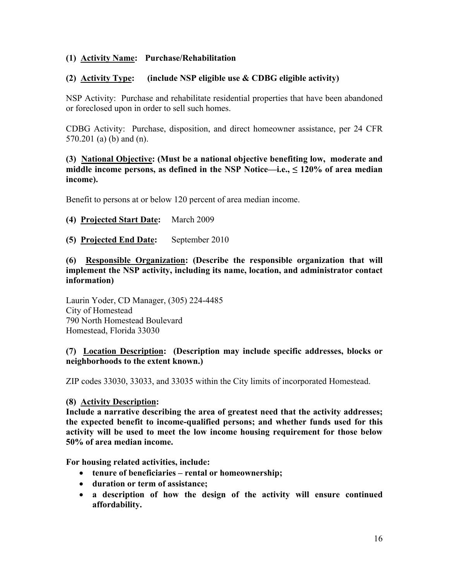#### **(1) Activity Name: Purchase/Rehabilitation**

#### **(2) Activity Type: (include NSP eligible use & CDBG eligible activity)**

NSP Activity: Purchase and rehabilitate residential properties that have been abandoned or foreclosed upon in order to sell such homes.

CDBG Activity: Purchase, disposition, and direct homeowner assistance, per 24 CFR 570.201 (a) (b) and (n).

#### **(3) National Objective: (Must be a national objective benefiting low, moderate and middle income persons, as defined in the NSP Notice—i.e., ≤ 120% of area median income).**

Benefit to persons at or below 120 percent of area median income.

- **(4) Projected Start Date:** March 2009
- **(5) Projected End Date:** September 2010

**(6) Responsible Organization: (Describe the responsible organization that will implement the NSP activity, including its name, location, and administrator contact information)** 

Laurin Yoder, CD Manager, (305) 224-4485 City of Homestead 790 North Homestead Boulevard Homestead, Florida 33030

#### **(7) Location Description: (Description may include specific addresses, blocks or neighborhoods to the extent known.)**

ZIP codes 33030, 33033, and 33035 within the City limits of incorporated Homestead.

#### **(8) Activity Description:**

**Include a narrative describing the area of greatest need that the activity addresses; the expected benefit to income-qualified persons; and whether funds used for this activity will be used to meet the low income housing requirement for those below 50% of area median income.** 

**For housing related activities, include:** 

- **tenure of beneficiaries rental or homeownership;**
- **duration or term of assistance;**
- **a description of how the design of the activity will ensure continued affordability.**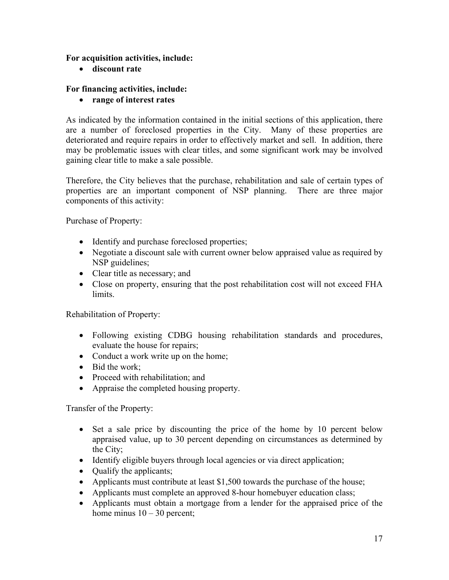#### **For acquisition activities, include:**

• **discount rate** 

#### **For financing activities, include:**

• **range of interest rates**

As indicated by the information contained in the initial sections of this application, there are a number of foreclosed properties in the City. Many of these properties are deteriorated and require repairs in order to effectively market and sell. In addition, there may be problematic issues with clear titles, and some significant work may be involved gaining clear title to make a sale possible.

Therefore, the City believes that the purchase, rehabilitation and sale of certain types of properties are an important component of NSP planning. There are three major components of this activity:

Purchase of Property:

- Identify and purchase foreclosed properties;
- Negotiate a discount sale with current owner below appraised value as required by NSP guidelines;
- Clear title as necessary; and
- Close on property, ensuring that the post rehabilitation cost will not exceed FHA **limits**

Rehabilitation of Property:

- Following existing CDBG housing rehabilitation standards and procedures, evaluate the house for repairs;
- Conduct a work write up on the home;
- Bid the work;
- Proceed with rehabilitation; and
- Appraise the completed housing property.

Transfer of the Property:

- Set a sale price by discounting the price of the home by 10 percent below appraised value, up to 30 percent depending on circumstances as determined by the City;
- Identify eligible buyers through local agencies or via direct application;
- Qualify the applicants;
- Applicants must contribute at least \$1,500 towards the purchase of the house;
- Applicants must complete an approved 8-hour homebuyer education class;
- Applicants must obtain a mortgage from a lender for the appraised price of the home minus  $10 - 30$  percent;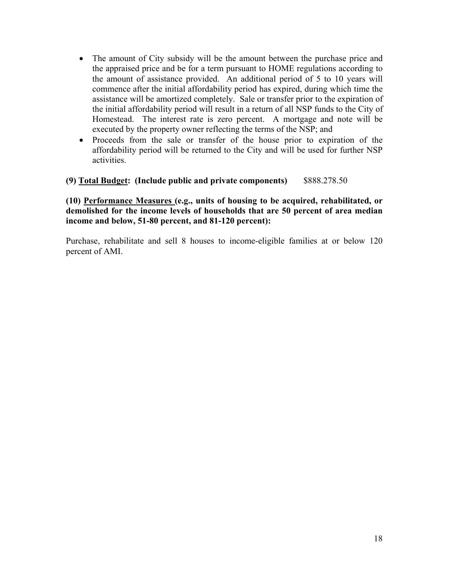- The amount of City subsidy will be the amount between the purchase price and the appraised price and be for a term pursuant to HOME regulations according to the amount of assistance provided. An additional period of 5 to 10 years will commence after the initial affordability period has expired, during which time the assistance will be amortized completely. Sale or transfer prior to the expiration of the initial affordability period will result in a return of all NSP funds to the City of Homestead. The interest rate is zero percent. A mortgage and note will be executed by the property owner reflecting the terms of the NSP; and
- Proceeds from the sale or transfer of the house prior to expiration of the affordability period will be returned to the City and will be used for further NSP activities.

**(9) Total Budget: (Include public and private components)** \$888.278.50

**(10) Performance Measures (e.g., units of housing to be acquired, rehabilitated, or demolished for the income levels of households that are 50 percent of area median income and below, 51-80 percent, and 81-120 percent):** 

Purchase, rehabilitate and sell 8 houses to income-eligible families at or below 120 percent of AMI.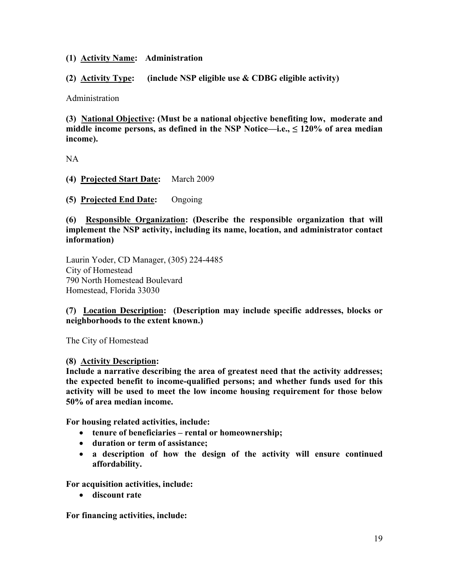#### **(1) Activity Name: Administration**

**(2) Activity Type: (include NSP eligible use & CDBG eligible activity)** 

Administration

**(3) National Objective: (Must be a national objective benefiting low, moderate and middle income persons, as defined in the NSP Notice—i.e., ≤ 120% of area median income).** 

NA

**(4) Projected Start Date:** March 2009

**(5) Projected End Date:** Ongoing

**(6) Responsible Organization: (Describe the responsible organization that will implement the NSP activity, including its name, location, and administrator contact information)** 

Laurin Yoder, CD Manager, (305) 224-4485 City of Homestead 790 North Homestead Boulevard Homestead, Florida 33030

**(7) Location Description: (Description may include specific addresses, blocks or neighborhoods to the extent known.)** 

The City of Homestead

**(8) Activity Description:** 

**Include a narrative describing the area of greatest need that the activity addresses; the expected benefit to income-qualified persons; and whether funds used for this activity will be used to meet the low income housing requirement for those below 50% of area median income.** 

**For housing related activities, include:** 

- **tenure of beneficiaries rental or homeownership;**
- **duration or term of assistance;**
- **a description of how the design of the activity will ensure continued affordability.**

**For acquisition activities, include:** 

• **discount rate** 

**For financing activities, include:**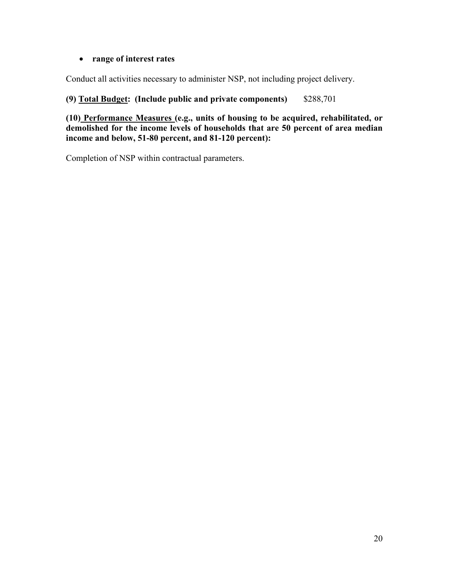#### • **range of interest rates**

Conduct all activities necessary to administer NSP, not including project delivery.

## **(9) Total Budget: (Include public and private components)** \$288,701

**(10) Performance Measures (e.g., units of housing to be acquired, rehabilitated, or demolished for the income levels of households that are 50 percent of area median income and below, 51-80 percent, and 81-120 percent):** 

Completion of NSP within contractual parameters.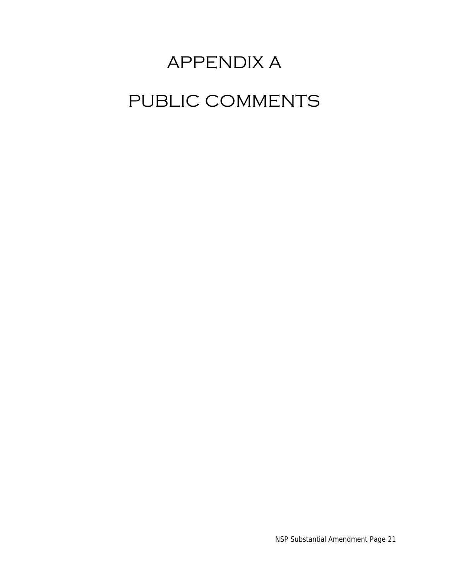# APPENDIX A PUBLIC COMMENTS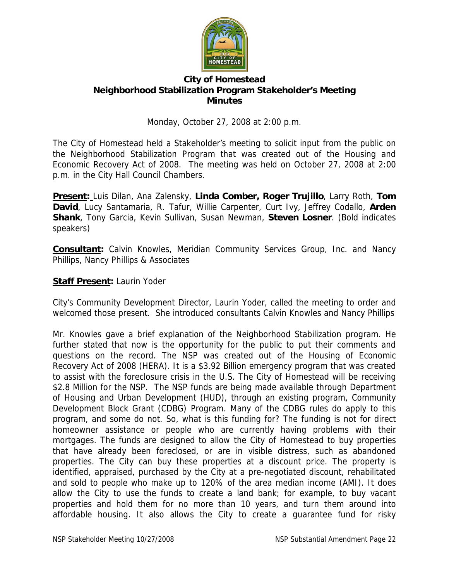

#### **City of Homestead Neighborhood Stabilization Program Stakeholder's Meeting Minutes**

Monday, October 27, 2008 at 2:00 p.m.

The City of Homestead held a Stakeholder's meeting to solicit input from the public on the Neighborhood Stabilization Program that was created out of the Housing and Economic Recovery Act of 2008. The meeting was held on October 27, 2008 at 2:00 p.m. in the City Hall Council Chambers.

**Present:** Luis Dilan, Ana Zalensky, **Linda Comber, Roger Trujillo**, Larry Roth, **Tom David**, Lucy Santamaria, R. Tafur, Willie Carpenter, Curt Ivy, Jeffrey Codallo, **Arden Shank**, Tony Garcia, Kevin Sullivan, Susan Newman, **Steven Losner**. (Bold indicates speakers)

**Consultant:** Calvin Knowles, Meridian Community Services Group, Inc. and Nancy Phillips, Nancy Phillips & Associates

## **Staff Present:** Laurin Yoder

City's Community Development Director, Laurin Yoder, called the meeting to order and welcomed those present. She introduced consultants Calvin Knowles and Nancy Phillips

Mr. Knowles gave a brief explanation of the Neighborhood Stabilization program. He further stated that now is the opportunity for the public to put their comments and questions on the record. The NSP was created out of the Housing of Economic Recovery Act of 2008 (HERA). It is a \$3.92 Billion emergency program that was created to assist with the foreclosure crisis in the U.S. The City of Homestead will be receiving \$2.8 Million for the NSP. The NSP funds are being made available through Department of Housing and Urban Development (HUD), through an existing program, Community Development Block Grant (CDBG) Program. Many of the CDBG rules do apply to this program, and some do not. So, what is this funding for? The funding is not for direct homeowner assistance or people who are currently having problems with their mortgages. The funds are designed to allow the City of Homestead to buy properties that have already been foreclosed, or are in visible distress, such as abandoned properties. The City can buy these properties at a discount price. The property is identified, appraised, purchased by the City at a pre-negotiated discount, rehabilitated and sold to people who make up to 120% of the area median income (AMI). It does allow the City to use the funds to create a land bank; for example, to buy vacant properties and hold them for no more than 10 years, and turn them around into affordable housing. It also allows the City to create a guarantee fund for risky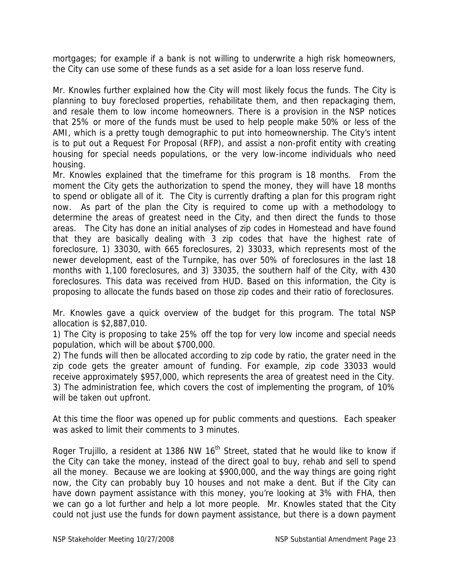mortgages; for example if a bank is not willing to underwrite a high risk homeowners, the City can use some of these funds as a set aside for a loan loss reserve fund.

Mr. Knowles further explained how the City will most likely focus the funds. The City is planning to buy foreclosed properties, rehabilitate them, and then repackaging them, and resale them to low income homeowners. There is a provision in the NSP notices that 25% or more of the funds must be used to help people make 50% or less of the AMI, which is a pretty tough demographic to put into homeownership. The City's intent is to put out a Request For Proposal (RFP), and assist a non-profit entity with creating housing for special needs populations, or the very low-income individuals who need housing.

Mr. Knowles explained that the timeframe for this program is 18 months. From the moment the City gets the authorization to spend the money, they will have 18 months to spend or obligate all of it. The City is currently drafting a plan for this program right now. As part of the plan the City is required to come up with a methodology to determine the areas of greatest need in the City, and then direct the funds to those areas. The City has done an initial analyses of zip codes in Homestead and have found that they are basically dealing with 3 zip codes that have the highest rate of foreclosure, 1) 33030, with 665 foreclosures, 2) 33033, which represents most of the newer development, east of the Turnpike, has over 50% of foreclosures in the last 18 months with 1,100 foreclosures, and 3) 33035, the southern half of the City, with 430 foreclosures. This data was received from HUD. Based on this information, the City is proposing to allocate the funds based on those zip codes and their ratio of foreclosures.

Mr. Knowles gave a quick overview of the budget for this program. The total NSP allocation is \$2,887,010.

1) The City is proposing to take 25% off the top for very low income and special needs population, which will be about \$700,000.

2) The funds will then be allocated according to zip code by ratio, the grater need in the zip code gets the greater amount of funding. For example, zip code 33033 would receive approximately \$957,000, which represents the area of greatest need in the City. 3) The administration fee, which covers the cost of implementing the program, of 10% will be taken out upfront.

At this time the floor was opened up for public comments and questions. Each speaker was asked to limit their comments to 3 minutes.

Roger Trujillo, a resident at 1386 NW  $16<sup>th</sup>$  Street, stated that he would like to know if the City can take the money, instead of the direct goal to buy, rehab and sell to spend all the money. Because we are looking at \$900,000, and the way things are going right now, the City can probably buy 10 houses and not make a dent. But if the City can have down payment assistance with this money, you're looking at 3% with FHA, then we can go a lot further and help a lot more people. Mr. Knowles stated that the City could not just use the funds for down payment assistance, but there is a down payment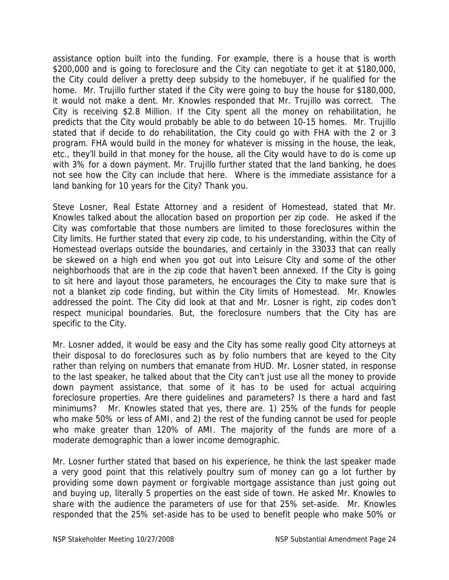assistance option built into the funding. For example, there is a house that is worth \$200,000 and is going to foreclosure and the City can negotiate to get it at \$180,000, the City could deliver a pretty deep subsidy to the homebuyer, if he qualified for the home. Mr. Trujillo further stated if the City were going to buy the house for \$180,000, it would not make a dent. Mr. Knowles responded that Mr. Trujillo was correct. The City is receiving \$2.8 Million. If the City spent all the money on rehabilitation, he predicts that the City would probably be able to do between 10-15 homes. Mr. Trujillo stated that if decide to do rehabilitation, the City could go with FHA with the 2 or 3 program. FHA would build in the money for whatever is missing in the house, the leak, etc., they'll build in that money for the house, all the City would have to do is come up with 3% for a down payment. Mr. Trujillo further stated that the land banking, he does not see how the City can include that here. Where is the immediate assistance for a land banking for 10 years for the City? Thank you.

Steve Losner, Real Estate Attorney and a resident of Homestead, stated that Mr. Knowles talked about the allocation based on proportion per zip code. He asked if the City was comfortable that those numbers are limited to those foreclosures within the City limits. He further stated that every zip code, to his understanding, within the City of Homestead overlaps outside the boundaries, and certainly in the 33033 that can really be skewed on a high end when you got out into Leisure City and some of the other neighborhoods that are in the zip code that haven't been annexed. If the City is going to sit here and layout those parameters, he encourages the City to make sure that is not a blanket zip code finding, but within the City limits of Homestead. Mr. Knowles addressed the point. The City did look at that and Mr. Losner is right, zip codes don't respect municipal boundaries. But, the foreclosure numbers that the City has are specific to the City.

Mr. Losner added, it would be easy and the City has some really good City attorneys at their disposal to do foreclosures such as by folio numbers that are keyed to the City rather than relying on numbers that emanate from HUD. Mr. Losner stated, in response to the last speaker, he talked about that the City can't just use all the money to provide down payment assistance, that some of it has to be used for actual acquiring foreclosure properties. Are there guidelines and parameters? Is there a hard and fast minimums? Mr. Knowles stated that yes, there are. 1) 25% of the funds for people who make 50% or less of AMI, and 2) the rest of the funding cannot be used for people who make greater than 120% of AMI. The majority of the funds are more of a moderate demographic than a lower income demographic.

Mr. Losner further stated that based on his experience, he think the last speaker made a very good point that this relatively poultry sum of money can go a lot further by providing some down payment or forgivable mortgage assistance than just going out and buying up, literally 5 properties on the east side of town. He asked Mr. Knowles to share with the audience the parameters of use for that 25% set-aside. Mr. Knowles responded that the 25% set-aside has to be used to benefit people who make 50% or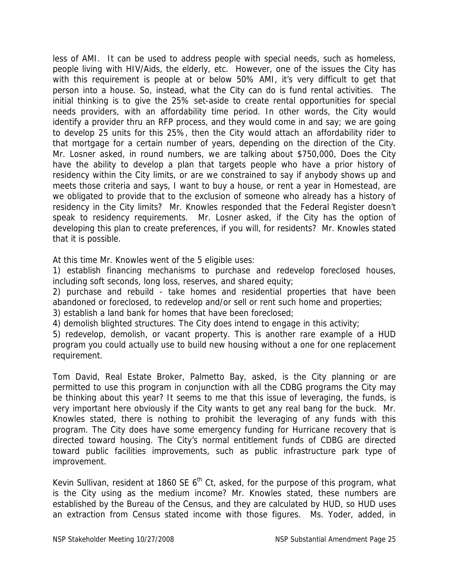less of AMI. It can be used to address people with special needs, such as homeless, people living with HIV/Aids, the elderly, etc. However, one of the issues the City has with this requirement is people at or below 50% AMI, it's very difficult to get that person into a house. So, instead, what the City can do is fund rental activities. The initial thinking is to give the 25% set-aside to create rental opportunities for special needs providers, with an affordability time period. In other words, the City would identify a provider thru an RFP process, and they would come in and say; we are going to develop 25 units for this 25%, then the City would attach an affordability rider to that mortgage for a certain number of years, depending on the direction of the City. Mr. Losner asked, in round numbers, we are talking about \$750,000, Does the City have the ability to develop a plan that targets people who have a prior history of residency within the City limits, or are we constrained to say if anybody shows up and meets those criteria and says, I want to buy a house, or rent a year in Homestead, are we obligated to provide that to the exclusion of someone who already has a history of residency in the City limits? Mr. Knowles responded that the Federal Register doesn't speak to residency requirements. Mr. Losner asked, if the City has the option of developing this plan to create preferences, if you will, for residents? Mr. Knowles stated that it is possible.

At this time Mr. Knowles went of the 5 eligible uses:

1) establish financing mechanisms to purchase and redevelop foreclosed houses, including soft seconds, long loss, reserves, and shared equity;

2) purchase and rebuild - take homes and residential properties that have been abandoned or foreclosed, to redevelop and/or sell or rent such home and properties;

3) establish a land bank for homes that have been foreclosed;

4) demolish blighted structures. The City does intend to engage in this activity;

5) redevelop, demolish, or vacant property. This is another rare example of a HUD program you could actually use to build new housing without a one for one replacement requirement.

Tom David, Real Estate Broker, Palmetto Bay, asked, is the City planning or are permitted to use this program in conjunction with all the CDBG programs the City may be thinking about this year? It seems to me that this issue of leveraging, the funds, is very important here obviously if the City wants to get any real bang for the buck. Mr. Knowles stated, there is nothing to prohibit the leveraging of any funds with this program. The City does have some emergency funding for Hurricane recovery that is directed toward housing. The City's normal entitlement funds of CDBG are directed toward public facilities improvements, such as public infrastructure park type of improvement.

Kevin Sullivan, resident at 1860 SE  $6<sup>th</sup>$  Ct, asked, for the purpose of this program, what is the City using as the medium income? Mr. Knowles stated, these numbers are established by the Bureau of the Census, and they are calculated by HUD, so HUD uses an extraction from Census stated income with those figures. Ms. Yoder, added, in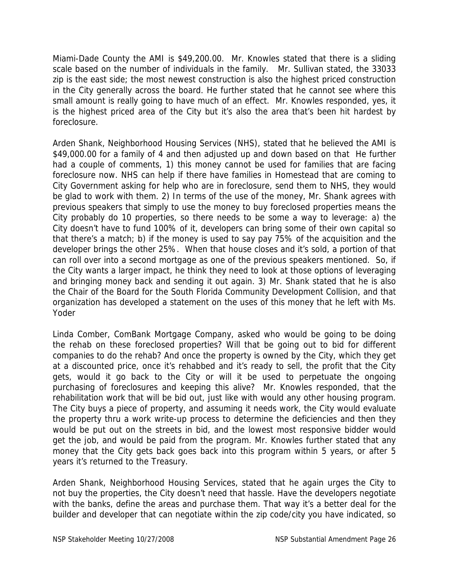Miami-Dade County the AMI is \$49,200.00. Mr. Knowles stated that there is a sliding scale based on the number of individuals in the family. Mr. Sullivan stated, the 33033 zip is the east side; the most newest construction is also the highest priced construction in the City generally across the board. He further stated that he cannot see where this small amount is really going to have much of an effect. Mr. Knowles responded, yes, it is the highest priced area of the City but it's also the area that's been hit hardest by foreclosure.

Arden Shank, Neighborhood Housing Services (NHS), stated that he believed the AMI is \$49,000.00 for a family of 4 and then adjusted up and down based on that He further had a couple of comments, 1) this money cannot be used for families that are facing foreclosure now. NHS can help if there have families in Homestead that are coming to City Government asking for help who are in foreclosure, send them to NHS, they would be glad to work with them. 2) In terms of the use of the money, Mr. Shank agrees with previous speakers that simply to use the money to buy foreclosed properties means the City probably do 10 properties, so there needs to be some a way to leverage: a) the City doesn't have to fund 100% of it, developers can bring some of their own capital so that there's a match; b) if the money is used to say pay 75% of the acquisition and the developer brings the other 25%. When that house closes and it's sold, a portion of that can roll over into a second mortgage as one of the previous speakers mentioned. So, if the City wants a larger impact, he think they need to look at those options of leveraging and bringing money back and sending it out again. 3) Mr. Shank stated that he is also the Chair of the Board for the South Florida Community Development Collision, and that organization has developed a statement on the uses of this money that he left with Ms. Yoder

Linda Comber, ComBank Mortgage Company, asked who would be going to be doing the rehab on these foreclosed properties? Will that be going out to bid for different companies to do the rehab? And once the property is owned by the City, which they get at a discounted price, once it's rehabbed and it's ready to sell, the profit that the City gets, would it go back to the City or will it be used to perpetuate the ongoing purchasing of foreclosures and keeping this alive? Mr. Knowles responded, that the rehabilitation work that will be bid out, just like with would any other housing program. The City buys a piece of property, and assuming it needs work, the City would evaluate the property thru a work write-up process to determine the deficiencies and then they would be put out on the streets in bid, and the lowest most responsive bidder would get the job, and would be paid from the program. Mr. Knowles further stated that any money that the City gets back goes back into this program within 5 years, or after 5 years it's returned to the Treasury.

Arden Shank, Neighborhood Housing Services, stated that he again urges the City to not buy the properties, the City doesn't need that hassle. Have the developers negotiate with the banks, define the areas and purchase them. That way it's a better deal for the builder and developer that can negotiate within the zip code/city you have indicated, so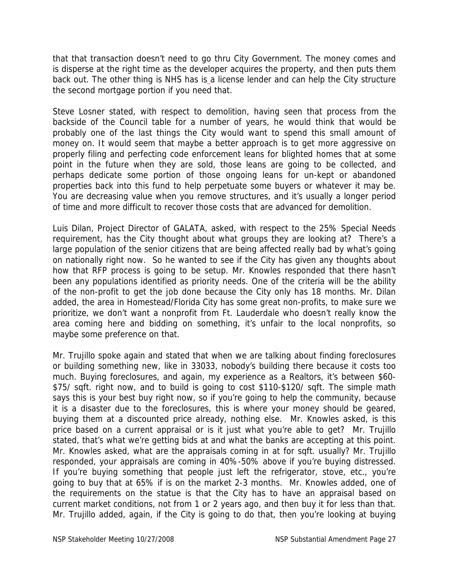that that transaction doesn't need to go thru City Government. The money comes and is disperse at the right time as the developer acquires the property, and then puts them back out. The other thing is NHS has is a license lender and can help the City structure the second mortgage portion if you need that.

Steve Losner stated, with respect to demolition, having seen that process from the backside of the Council table for a number of years, he would think that would be probably one of the last things the City would want to spend this small amount of money on. It would seem that maybe a better approach is to get more aggressive on properly filing and perfecting code enforcement leans for blighted homes that at some point in the future when they are sold, those leans are going to be collected, and perhaps dedicate some portion of those ongoing leans for un-kept or abandoned properties back into this fund to help perpetuate some buyers or whatever it may be. You are decreasing value when you remove structures, and it's usually a longer period of time and more difficult to recover those costs that are advanced for demolition.

Luis Dilan, Project Director of GALATA, asked, with respect to the 25% Special Needs requirement, has the City thought about what groups they are looking at? There's a large population of the senior citizens that are being affected really bad by what's going on nationally right now. So he wanted to see if the City has given any thoughts about how that RFP process is going to be setup. Mr. Knowles responded that there hasn't been any populations identified as priority needs. One of the criteria will be the ability of the non-profit to get the job done because the City only has 18 months. Mr. Dilan added, the area in Homestead/Florida City has some great non-profits, to make sure we prioritize, we don't want a nonprofit from Ft. Lauderdale who doesn't really know the area coming here and bidding on something, it's unfair to the local nonprofits, so maybe some preference on that.

Mr. Trujillo spoke again and stated that when we are talking about finding foreclosures or building something new, like in 33033, nobody's building there because it costs too much. Buying foreclosures, and again, my experience as a Realtors, it's between \$60- \$75/ sqft. right now, and to build is going to cost \$110-\$120/ sqft. The simple math says this is your best buy right now, so if you're going to help the community, because it is a disaster due to the foreclosures, this is where your money should be geared, buying them at a discounted price already, nothing else. Mr. Knowles asked, is this price based on a current appraisal or is it just what you're able to get? Mr. Trujillo stated, that's what we're getting bids at and what the banks are accepting at this point. Mr. Knowles asked, what are the appraisals coming in at for sqft. usually? Mr. Trujillo responded, your appraisals are coming in 40%-50% above if you're buying distressed. If you're buying something that people just left the refrigerator, stove, etc., you're going to buy that at 65% if is on the market 2-3 months. Mr. Knowles added, one of the requirements on the statue is that the City has to have an appraisal based on current market conditions, not from 1 or 2 years ago, and then buy it for less than that. Mr. Trujillo added, again, if the City is going to do that, then you're looking at buying